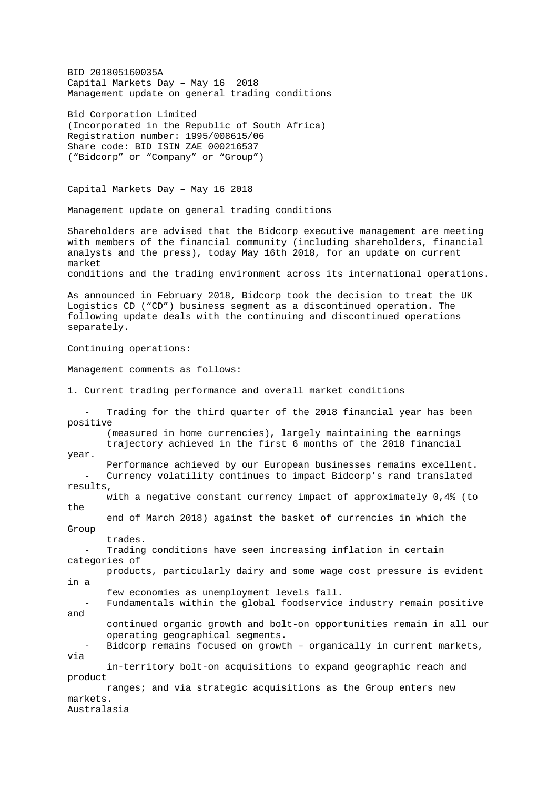BID 201805160035A Capital Markets Day – May 16 2018 Management update on general trading conditions

Bid Corporation Limited (Incorporated in the Republic of South Africa) Registration number: 1995/008615/06 Share code: BID ISIN ZAE 000216537 ("Bidcorp" or "Company" or "Group")

Capital Markets Day – May 16 2018

Management update on general trading conditions

Shareholders are advised that the Bidcorp executive management are meeting with members of the financial community (including shareholders, financial analysts and the press), today May 16th 2018, for an update on current market conditions and the trading environment across its international operations.

As announced in February 2018, Bidcorp took the decision to treat the UK Logistics CD ("CD") business segment as a discontinued operation. The following update deals with the continuing and discontinued operations separately.

Continuing operations:

Management comments as follows:

1. Current trading performance and overall market conditions

Trading for the third quarter of the 2018 financial year has been positive

 (measured in home currencies), largely maintaining the earnings trajectory achieved in the first 6 months of the 2018 financial

year.

 Performance achieved by our European businesses remains excellent. Currency volatility continues to impact Bidcorp's rand translated results,

 with a negative constant currency impact of approximately 0,4% (to the

 end of March 2018) against the basket of currencies in which the Group

trades.

Trading conditions have seen increasing inflation in certain categories of

 products, particularly dairy and some wage cost pressure is evident in a

few economies as unemployment levels fall.

Fundamentals within the global foodservice industry remain positive and

 continued organic growth and bolt-on opportunities remain in all our operating geographical segments.

 - Bidcorp remains focused on growth – organically in current markets, via

 in-territory bolt-on acquisitions to expand geographic reach and product

 ranges; and via strategic acquisitions as the Group enters new markets. Australasia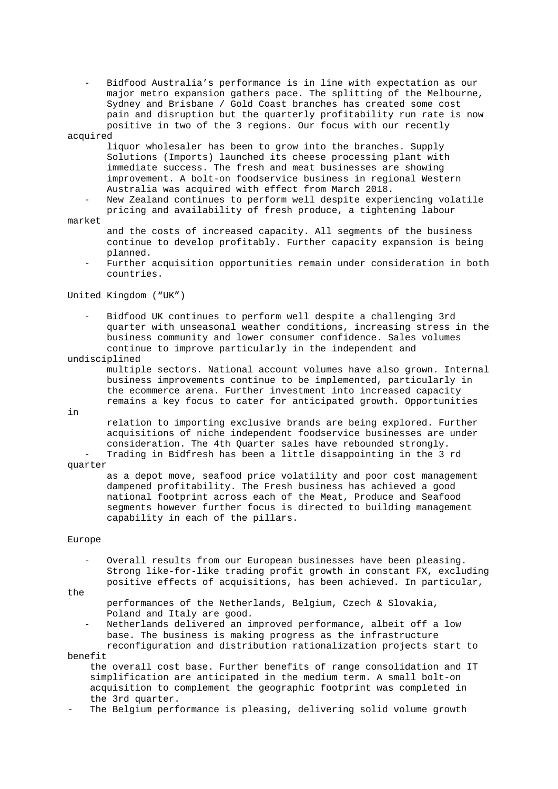- Bidfood Australia's performance is in line with expectation as our major metro expansion gathers pace. The splitting of the Melbourne, Sydney and Brisbane / Gold Coast branches has created some cost pain and disruption but the quarterly profitability run rate is now positive in two of the 3 regions. Our focus with our recently acquired

 liquor wholesaler has been to grow into the branches. Supply Solutions (Imports) launched its cheese processing plant with immediate success. The fresh and meat businesses are showing improvement. A bolt-on foodservice business in regional Western Australia was acquired with effect from March 2018.

New Zealand continues to perform well despite experiencing volatile pricing and availability of fresh produce, a tightening labour

### market

 and the costs of increased capacity. All segments of the business continue to develop profitably. Further capacity expansion is being planned.

Further acquisition opportunities remain under consideration in both countries.

United Kingdom ("UK")

 - Bidfood UK continues to perform well despite a challenging 3rd quarter with unseasonal weather conditions, increasing stress in the business community and lower consumer confidence. Sales volumes continue to improve particularly in the independent and

## undisciplined

 multiple sectors. National account volumes have also grown. Internal business improvements continue to be implemented, particularly in the ecommerce arena. Further investment into increased capacity remains a key focus to cater for anticipated growth. Opportunities

in

 relation to importing exclusive brands are being explored. Further acquisitions of niche independent foodservice businesses are under consideration. The 4th Quarter sales have rebounded strongly. - Trading in Bidfresh has been a little disappointing in the 3 rd

quarter

 as a depot move, seafood price volatility and poor cost management dampened profitability. The Fresh business has achieved a good national footprint across each of the Meat, Produce and Seafood segments however further focus is directed to building management capability in each of the pillars.

#### Europe

 - Overall results from our European businesses have been pleasing. Strong like-for-like trading profit growth in constant FX, excluding positive effects of acquisitions, has been achieved. In particular,

#### the

 performances of the Netherlands, Belgium, Czech & Slovakia, Poland and Italy are good.

Netherlands delivered an improved performance, albeit off a low base. The business is making progress as the infrastructure reconfiguration and distribution rationalization projects start to

benefit

 the overall cost base. Further benefits of range consolidation and IT simplification are anticipated in the medium term. A small bolt-on acquisition to complement the geographic footprint was completed in the 3rd quarter.

The Belgium performance is pleasing, delivering solid volume growth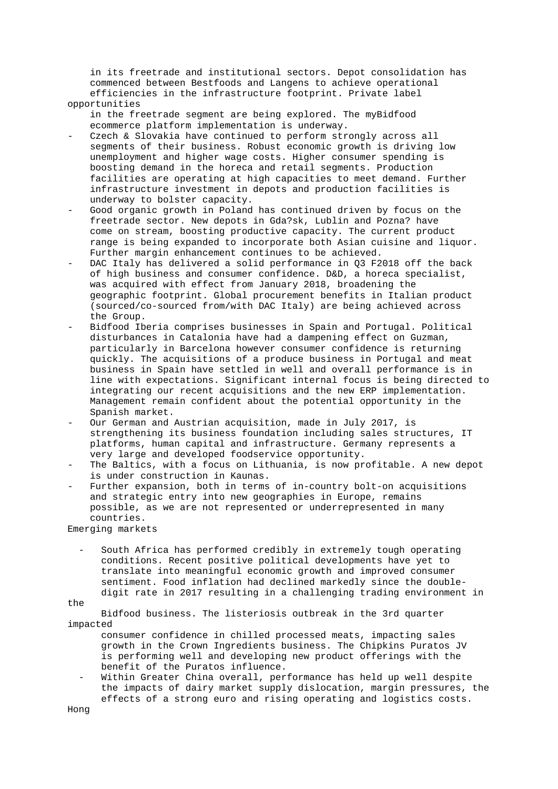in its freetrade and institutional sectors. Depot consolidation has commenced between Bestfoods and Langens to achieve operational efficiencies in the infrastructure footprint. Private label opportunities

 in the freetrade segment are being explored. The myBidfood ecommerce platform implementation is underway.

- Czech & Slovakia have continued to perform strongly across all segments of their business. Robust economic growth is driving low unemployment and higher wage costs. Higher consumer spending is boosting demand in the horeca and retail segments. Production facilities are operating at high capacities to meet demand. Further infrastructure investment in depots and production facilities is underway to bolster capacity.
- Good organic growth in Poland has continued driven by focus on the freetrade sector. New depots in Gda?sk, Lublin and Pozna? have come on stream, boosting productive capacity. The current product range is being expanded to incorporate both Asian cuisine and liquor. Further margin enhancement continues to be achieved.
- DAC Italy has delivered a solid performance in 03 F2018 off the back of high business and consumer confidence. D&D, a horeca specialist, was acquired with effect from January 2018, broadening the geographic footprint. Global procurement benefits in Italian product (sourced/co-sourced from/with DAC Italy) are being achieved across the Group.
- Bidfood Iberia comprises businesses in Spain and Portugal. Political disturbances in Catalonia have had a dampening effect on Guzman, particularly in Barcelona however consumer confidence is returning quickly. The acquisitions of a produce business in Portugal and meat business in Spain have settled in well and overall performance is in line with expectations. Significant internal focus is being directed to integrating our recent acquisitions and the new ERP implementation. Management remain confident about the potential opportunity in the Spanish market.
- Our German and Austrian acquisition, made in July 2017, is strengthening its business foundation including sales structures, IT platforms, human capital and infrastructure. Germany represents a very large and developed foodservice opportunity.
- The Baltics, with a focus on Lithuania, is now profitable. A new depot is under construction in Kaunas.
- Further expansion, both in terms of in-country bolt-on acquisitions and strategic entry into new geographies in Europe, remains possible, as we are not represented or underrepresented in many countries.

Emerging markets

South Africa has performed credibly in extremely tough operating conditions. Recent positive political developments have yet to translate into meaningful economic growth and improved consumer sentiment. Food inflation had declined markedly since the double digit rate in 2017 resulting in a challenging trading environment in

#### the

 Bidfood business. The listeriosis outbreak in the 3rd quarter impacted

 consumer confidence in chilled processed meats, impacting sales growth in the Crown Ingredients business. The Chipkins Puratos JV is performing well and developing new product offerings with the benefit of the Puratos influence.

Within Greater China overall, performance has held up well despite the impacts of dairy market supply dislocation, margin pressures, the effects of a strong euro and rising operating and logistics costs.

Hong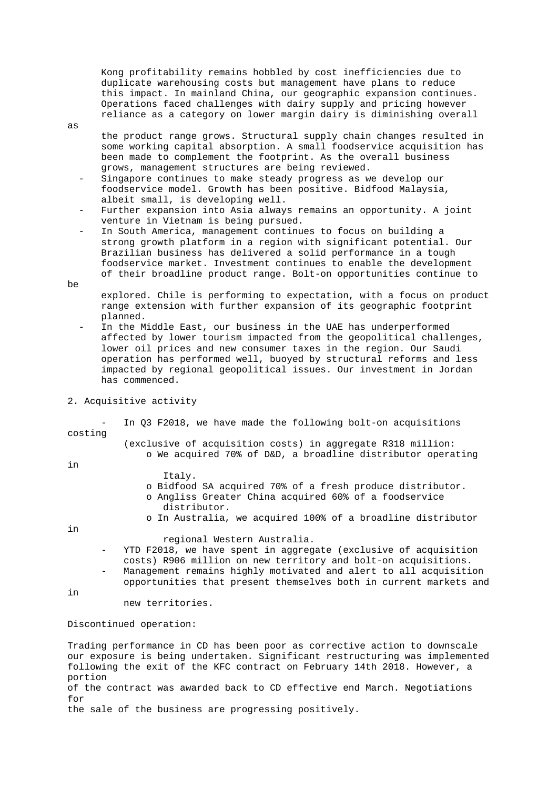Kong profitability remains hobbled by cost inefficiencies due to duplicate warehousing costs but management have plans to reduce this impact. In mainland China, our geographic expansion continues. Operations faced challenges with dairy supply and pricing however reliance as a category on lower margin dairy is diminishing overall

 the product range grows. Structural supply chain changes resulted in some working capital absorption. A small foodservice acquisition has been made to complement the footprint. As the overall business grows, management structures are being reviewed.

- Singapore continues to make steady progress as we develop our foodservice model. Growth has been positive. Bidfood Malaysia, albeit small, is developing well.
- Further expansion into Asia always remains an opportunity. A joint venture in Vietnam is being pursued.
- In South America, management continues to focus on building a strong growth platform in a region with significant potential. Our Brazilian business has delivered a solid performance in a tough foodservice market. Investment continues to enable the development of their broadline product range. Bolt-on opportunities continue to be

 explored. Chile is performing to expectation, with a focus on product range extension with further expansion of its geographic footprint planned.

- In the Middle East, our business in the UAE has underperformed affected by lower tourism impacted from the geopolitical challenges, lower oil prices and new consumer taxes in the region. Our Saudi operation has performed well, buoyed by structural reforms and less impacted by regional geopolitical issues. Our investment in Jordan has commenced.
- 2. Acquisitive activity

In Q3 F2018, we have made the following bolt-on acquisitions costing

- (exclusive of acquisition costs) in aggregate R318 million: o We acquired 70% of D&D, a broadline distributor operating
- in
- Italy.
- o Bidfood SA acquired 70% of a fresh produce distributor.
- o Angliss Greater China acquired 60% of a foodservice distributor.
- o In Australia, we acquired 100% of a broadline distributor

in

regional Western Australia.

- YTD F2018, we have spent in aggregate (exclusive of acquisition costs) R906 million on new territory and bolt-on acquisitions.
- Management remains highly motivated and alert to all acquisition opportunities that present themselves both in current markets and

in

new territories.

# Discontinued operation:

Trading performance in CD has been poor as corrective action to downscale our exposure is being undertaken. Significant restructuring was implemented following the exit of the KFC contract on February 14th 2018. However, a portion of the contract was awarded back to CD effective end March. Negotiations for the sale of the business are progressing positively.

as